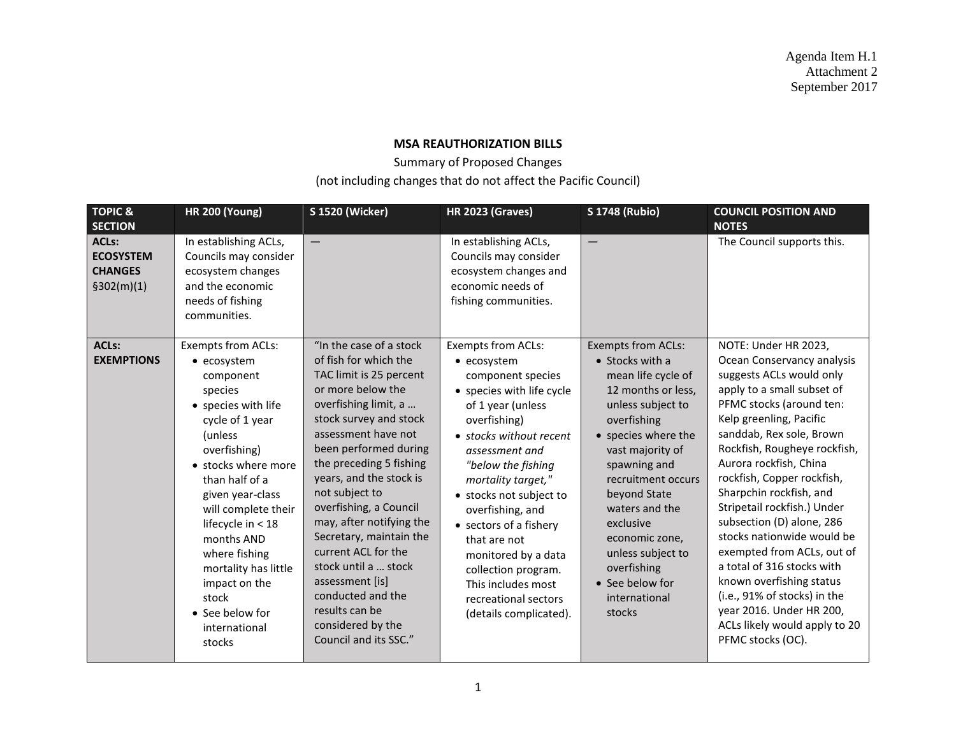Agenda Item H.1 Attachment 2 September 2017

## **MSA REAUTHORIZATION BILLS**

Summary of Proposed Changes

(not including changes that do not affect the Pacific Council)

| <b>TOPIC &amp;</b><br><b>SECTION</b>                              | <b>HR 200 (Young)</b>                                                                                                                                                                                                                                                                                                                                                    | <b>S 1520 (Wicker)</b>                                                                                                                                                                                                                                                                                                                                                                                                                                                                                             | <b>HR 2023 (Graves)</b>                                                                                                                                                                                                                                                                                                                                                                                                                 | <b>S 1748 (Rubio)</b>                                                                                                                                                                                                                                                                                                                                                    | <b>COUNCIL POSITION AND</b><br><b>NOTES</b>                                                                                                                                                                                                                                                                                                                                                                                                                                                                                                                                                                            |
|-------------------------------------------------------------------|--------------------------------------------------------------------------------------------------------------------------------------------------------------------------------------------------------------------------------------------------------------------------------------------------------------------------------------------------------------------------|--------------------------------------------------------------------------------------------------------------------------------------------------------------------------------------------------------------------------------------------------------------------------------------------------------------------------------------------------------------------------------------------------------------------------------------------------------------------------------------------------------------------|-----------------------------------------------------------------------------------------------------------------------------------------------------------------------------------------------------------------------------------------------------------------------------------------------------------------------------------------------------------------------------------------------------------------------------------------|--------------------------------------------------------------------------------------------------------------------------------------------------------------------------------------------------------------------------------------------------------------------------------------------------------------------------------------------------------------------------|------------------------------------------------------------------------------------------------------------------------------------------------------------------------------------------------------------------------------------------------------------------------------------------------------------------------------------------------------------------------------------------------------------------------------------------------------------------------------------------------------------------------------------------------------------------------------------------------------------------------|
| <b>ACLs:</b><br><b>ECOSYSTEM</b><br><b>CHANGES</b><br>\$302(m)(1) | In establishing ACLs,<br>Councils may consider<br>ecosystem changes<br>and the economic<br>needs of fishing<br>communities.                                                                                                                                                                                                                                              |                                                                                                                                                                                                                                                                                                                                                                                                                                                                                                                    | In establishing ACLs,<br>Councils may consider<br>ecosystem changes and<br>economic needs of<br>fishing communities.                                                                                                                                                                                                                                                                                                                    | $\qquad \qquad -$                                                                                                                                                                                                                                                                                                                                                        | The Council supports this.                                                                                                                                                                                                                                                                                                                                                                                                                                                                                                                                                                                             |
| <b>ACLs:</b><br><b>EXEMPTIONS</b>                                 | Exempts from ACLs:<br>• ecosystem<br>component<br>species<br>• species with life<br>cycle of 1 year<br>(unless<br>overfishing)<br>• stocks where more<br>than half of a<br>given year-class<br>will complete their<br>lifecycle in $<$ 18<br>months AND<br>where fishing<br>mortality has little<br>impact on the<br>stock<br>• See below for<br>international<br>stocks | "In the case of a stock<br>of fish for which the<br>TAC limit is 25 percent<br>or more below the<br>overfishing limit, a<br>stock survey and stock<br>assessment have not<br>been performed during<br>the preceding 5 fishing<br>years, and the stock is<br>not subject to<br>overfishing, a Council<br>may, after notifying the<br>Secretary, maintain the<br>current ACL for the<br>stock until a  stock<br>assessment [is]<br>conducted and the<br>results can be<br>considered by the<br>Council and its SSC." | <b>Exempts from ACLs:</b><br>• ecosystem<br>component species<br>• species with life cycle<br>of 1 year (unless<br>overfishing)<br>• stocks without recent<br>assessment and<br>"below the fishing<br>mortality target,"<br>• stocks not subject to<br>overfishing, and<br>• sectors of a fishery<br>that are not<br>monitored by a data<br>collection program.<br>This includes most<br>recreational sectors<br>(details complicated). | <b>Exempts from ACLs:</b><br>$\bullet$ Stocks with a<br>mean life cycle of<br>12 months or less,<br>unless subject to<br>overfishing<br>• species where the<br>vast majority of<br>spawning and<br>recruitment occurs<br>beyond State<br>waters and the<br>exclusive<br>economic zone,<br>unless subject to<br>overfishing<br>• See below for<br>international<br>stocks | NOTE: Under HR 2023,<br>Ocean Conservancy analysis<br>suggests ACLs would only<br>apply to a small subset of<br>PFMC stocks (around ten:<br>Kelp greenling, Pacific<br>sanddab, Rex sole, Brown<br>Rockfish, Rougheye rockfish,<br>Aurora rockfish, China<br>rockfish, Copper rockfish,<br>Sharpchin rockfish, and<br>Stripetail rockfish.) Under<br>subsection (D) alone, 286<br>stocks nationwide would be<br>exempted from ACLs, out of<br>a total of 316 stocks with<br>known overfishing status<br>(i.e., 91% of stocks) in the<br>year 2016. Under HR 200,<br>ACLs likely would apply to 20<br>PFMC stocks (OC). |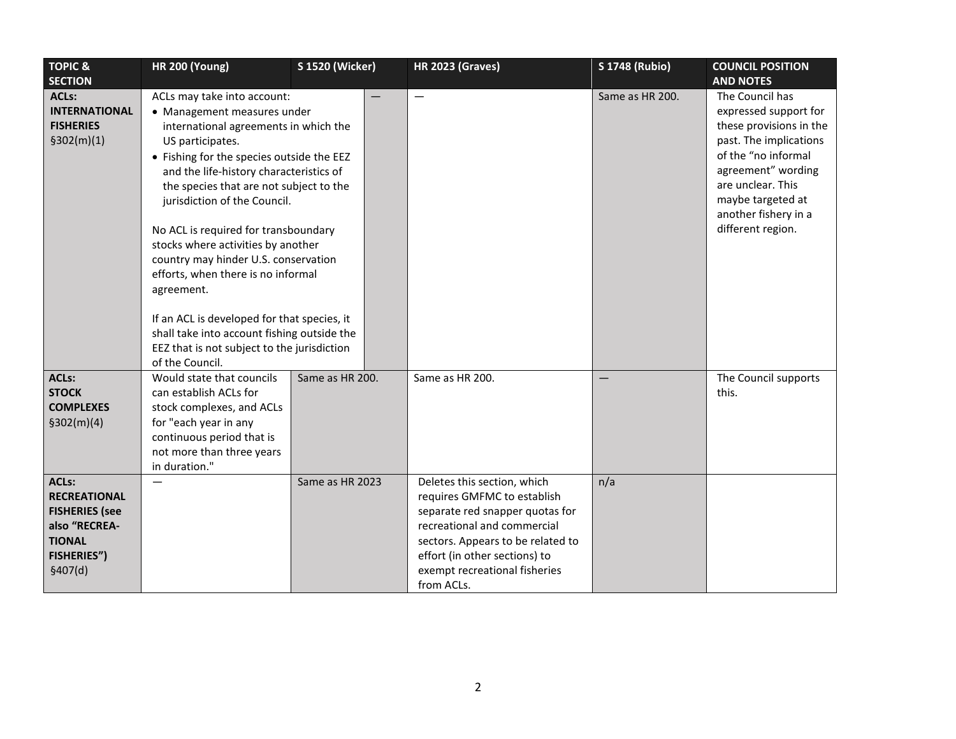| <b>TOPIC &amp;</b>                                                                                                               | <b>HR 200 (Young)</b>                                                                                                                                                                                                                                                                                                                                                                                                                                                                                                                                                                                                                | <b>S 1520 (Wicker)</b> | <b>HR 2023 (Graves)</b>                                                                                                                                                                                                                           | <b>S 1748 (Rubio)</b> | <b>COUNCIL POSITION</b>                                                                                                                                                                                                           |
|----------------------------------------------------------------------------------------------------------------------------------|--------------------------------------------------------------------------------------------------------------------------------------------------------------------------------------------------------------------------------------------------------------------------------------------------------------------------------------------------------------------------------------------------------------------------------------------------------------------------------------------------------------------------------------------------------------------------------------------------------------------------------------|------------------------|---------------------------------------------------------------------------------------------------------------------------------------------------------------------------------------------------------------------------------------------------|-----------------------|-----------------------------------------------------------------------------------------------------------------------------------------------------------------------------------------------------------------------------------|
| <b>SECTION</b>                                                                                                                   |                                                                                                                                                                                                                                                                                                                                                                                                                                                                                                                                                                                                                                      |                        |                                                                                                                                                                                                                                                   |                       | <b>AND NOTES</b>                                                                                                                                                                                                                  |
| <b>ACLs:</b><br><b>INTERNATIONAL</b><br><b>FISHERIES</b><br>\$302(m)(1)                                                          | ACLs may take into account:<br>• Management measures under<br>international agreements in which the<br>US participates.<br>• Fishing for the species outside the EEZ<br>and the life-history characteristics of<br>the species that are not subject to the<br>jurisdiction of the Council.<br>No ACL is required for transboundary<br>stocks where activities by another<br>country may hinder U.S. conservation<br>efforts, when there is no informal<br>agreement.<br>If an ACL is developed for that species, it<br>shall take into account fishing outside the<br>EEZ that is not subject to the jurisdiction<br>of the Council. |                        | $\overline{\phantom{0}}$                                                                                                                                                                                                                          | Same as HR 200.       | The Council has<br>expressed support for<br>these provisions in the<br>past. The implications<br>of the "no informal<br>agreement" wording<br>are unclear. This<br>maybe targeted at<br>another fishery in a<br>different region. |
| <b>ACLs:</b><br><b>STOCK</b><br><b>COMPLEXES</b><br>\$302(m)(4)                                                                  | Would state that councils<br>can establish ACLs for<br>stock complexes, and ACLs<br>for "each year in any<br>continuous period that is<br>not more than three years<br>in duration."                                                                                                                                                                                                                                                                                                                                                                                                                                                 | Same as HR 200.        | Same as HR 200.                                                                                                                                                                                                                                   |                       | The Council supports<br>this.                                                                                                                                                                                                     |
| <b>ACLs:</b><br><b>RECREATIONAL</b><br><b>FISHERIES (see</b><br>also "RECREA-<br><b>TIONAL</b><br><b>FISHERIES")</b><br>\$407(d) |                                                                                                                                                                                                                                                                                                                                                                                                                                                                                                                                                                                                                                      | Same as HR 2023        | Deletes this section, which<br>requires GMFMC to establish<br>separate red snapper quotas for<br>recreational and commercial<br>sectors. Appears to be related to<br>effort (in other sections) to<br>exempt recreational fisheries<br>from ACLs. | n/a                   |                                                                                                                                                                                                                                   |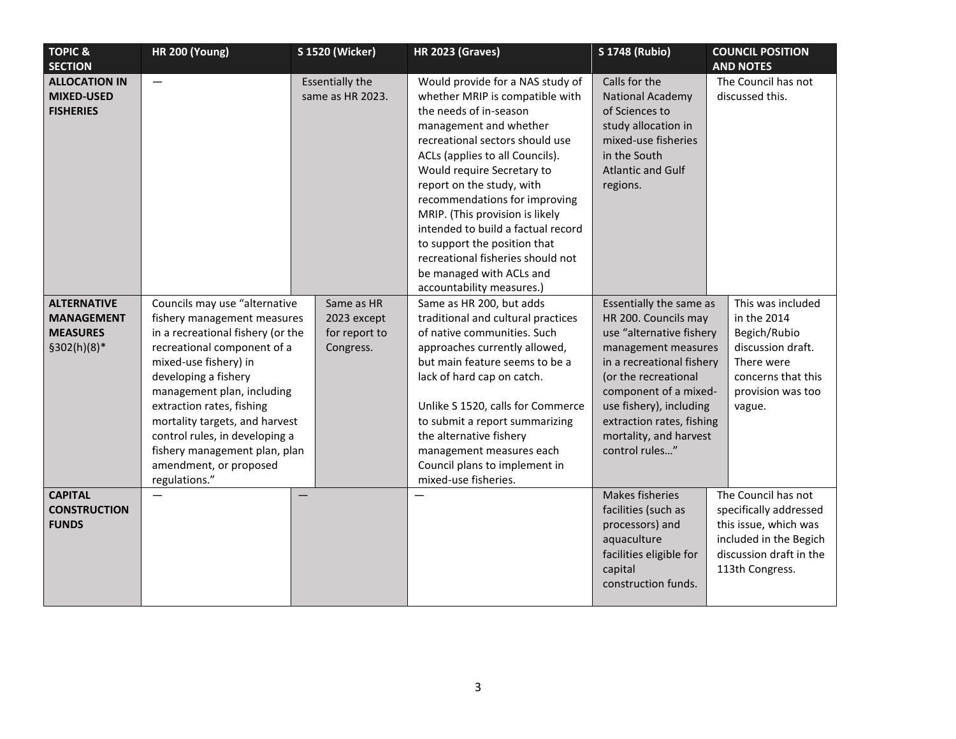| <b>TOPIC &amp;</b>                                                        | <b>HR 200 (Young)</b>                                                                                                                                                                                                                                                                                                                                                                        | <b>S 1520 (Wicker)</b>                                  | <b>HR 2023 (Graves)</b>                                                                                                                                                                                                                                                                                                                                                                                                                                                                          | <b>S 1748 (Rubio)</b>                                                                                                                                                                                                                                                                | <b>COUNCIL POSITION</b>                                                                                                                        |
|---------------------------------------------------------------------------|----------------------------------------------------------------------------------------------------------------------------------------------------------------------------------------------------------------------------------------------------------------------------------------------------------------------------------------------------------------------------------------------|---------------------------------------------------------|--------------------------------------------------------------------------------------------------------------------------------------------------------------------------------------------------------------------------------------------------------------------------------------------------------------------------------------------------------------------------------------------------------------------------------------------------------------------------------------------------|--------------------------------------------------------------------------------------------------------------------------------------------------------------------------------------------------------------------------------------------------------------------------------------|------------------------------------------------------------------------------------------------------------------------------------------------|
| <b>SECTION</b>                                                            |                                                                                                                                                                                                                                                                                                                                                                                              |                                                         |                                                                                                                                                                                                                                                                                                                                                                                                                                                                                                  |                                                                                                                                                                                                                                                                                      | <b>AND NOTES</b>                                                                                                                               |
| <b>ALLOCATION IN</b><br><b>MIXED-USED</b><br><b>FISHERIES</b>             | $\overbrace{\phantom{12322111}}$                                                                                                                                                                                                                                                                                                                                                             | <b>Essentially the</b><br>same as HR 2023.              | Would provide for a NAS study of<br>whether MRIP is compatible with<br>the needs of in-season<br>management and whether<br>recreational sectors should use<br>ACLs (applies to all Councils).<br>Would require Secretary to<br>report on the study, with<br>recommendations for improving<br>MRIP. (This provision is likely<br>intended to build a factual record<br>to support the position that<br>recreational fisheries should not<br>be managed with ACLs and<br>accountability measures.) | Calls for the<br><b>National Academy</b><br>of Sciences to<br>study allocation in<br>mixed-use fisheries<br>in the South<br><b>Atlantic and Gulf</b><br>regions.                                                                                                                     | The Council has not<br>discussed this.                                                                                                         |
| <b>ALTERNATIVE</b><br><b>MANAGEMENT</b><br><b>MEASURES</b><br>§302(h)(8)* | Councils may use "alternative<br>fishery management measures<br>in a recreational fishery (or the<br>recreational component of a<br>mixed-use fishery) in<br>developing a fishery<br>management plan, including<br>extraction rates, fishing<br>mortality targets, and harvest<br>control rules, in developing a<br>fishery management plan, plan<br>amendment, or proposed<br>regulations." | Same as HR<br>2023 except<br>for report to<br>Congress. | Same as HR 200, but adds<br>traditional and cultural practices<br>of native communities. Such<br>approaches currently allowed,<br>but main feature seems to be a<br>lack of hard cap on catch.<br>Unlike S 1520, calls for Commerce<br>to submit a report summarizing<br>the alternative fishery<br>management measures each<br>Council plans to implement in<br>mixed-use fisheries.                                                                                                            | Essentially the same as<br>HR 200. Councils may<br>use "alternative fishery<br>management measures<br>in a recreational fishery<br>(or the recreational<br>component of a mixed-<br>use fishery), including<br>extraction rates, fishing<br>mortality, and harvest<br>control rules" | This was included<br>in the 2014<br>Begich/Rubio<br>discussion draft.<br>There were<br>concerns that this<br>provision was too<br>vague.       |
| <b>CAPITAL</b><br><b>CONSTRUCTION</b><br><b>FUNDS</b>                     |                                                                                                                                                                                                                                                                                                                                                                                              | $\overline{\phantom{0}}$                                |                                                                                                                                                                                                                                                                                                                                                                                                                                                                                                  | <b>Makes fisheries</b><br>facilities (such as<br>processors) and<br>aquaculture<br>facilities eligible for<br>capital<br>construction funds.                                                                                                                                         | The Council has not<br>specifically addressed<br>this issue, which was<br>included in the Begich<br>discussion draft in the<br>113th Congress. |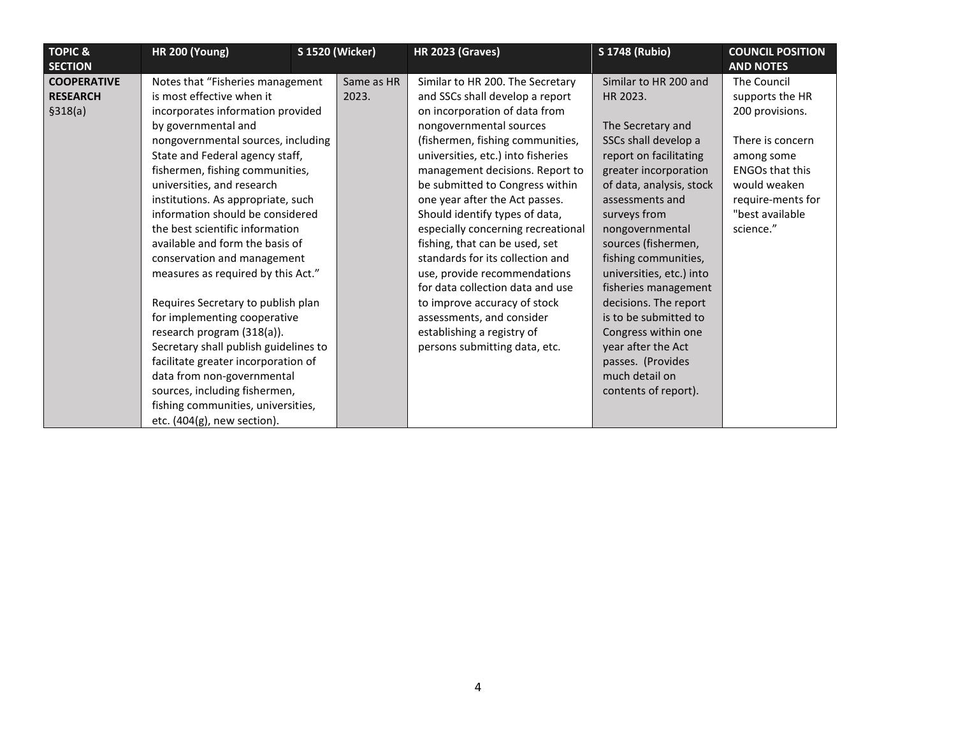| <b>TOPIC &amp;</b>                                                  | <b>HR 200 (Young)</b>                                                                                                                                                                                                                                                                                                                                                                                                                                                                                                                                                                                                                                                                                                                                                             | <b>S 1520 (Wicker)</b> |                     | <b>HR 2023 (Graves)</b>                                                                                                                                                                                                                                                                                                                                                                                                                                                                                                                                                                                                                                         | <b>S 1748 (Rubio)</b>                                                                                                                                                                                                                                                                                                                                                                                                                                                                | <b>COUNCIL POSITION</b><br><b>AND NOTES</b>                                                                                                                                        |
|---------------------------------------------------------------------|-----------------------------------------------------------------------------------------------------------------------------------------------------------------------------------------------------------------------------------------------------------------------------------------------------------------------------------------------------------------------------------------------------------------------------------------------------------------------------------------------------------------------------------------------------------------------------------------------------------------------------------------------------------------------------------------------------------------------------------------------------------------------------------|------------------------|---------------------|-----------------------------------------------------------------------------------------------------------------------------------------------------------------------------------------------------------------------------------------------------------------------------------------------------------------------------------------------------------------------------------------------------------------------------------------------------------------------------------------------------------------------------------------------------------------------------------------------------------------------------------------------------------------|--------------------------------------------------------------------------------------------------------------------------------------------------------------------------------------------------------------------------------------------------------------------------------------------------------------------------------------------------------------------------------------------------------------------------------------------------------------------------------------|------------------------------------------------------------------------------------------------------------------------------------------------------------------------------------|
| <b>SECTION</b><br><b>COOPERATIVE</b><br><b>RESEARCH</b><br>\$318(a) | Notes that "Fisheries management<br>is most effective when it<br>incorporates information provided<br>by governmental and<br>nongovernmental sources, including<br>State and Federal agency staff,<br>fishermen, fishing communities,<br>universities, and research<br>institutions. As appropriate, such<br>information should be considered<br>the best scientific information<br>available and form the basis of<br>conservation and management<br>measures as required by this Act."<br>Requires Secretary to publish plan<br>for implementing cooperative<br>research program (318(a)).<br>Secretary shall publish guidelines to<br>facilitate greater incorporation of<br>data from non-governmental<br>sources, including fishermen,<br>fishing communities, universities, |                        | Same as HR<br>2023. | Similar to HR 200. The Secretary<br>and SSCs shall develop a report<br>on incorporation of data from<br>nongovernmental sources<br>(fishermen, fishing communities,<br>universities, etc.) into fisheries<br>management decisions. Report to<br>be submitted to Congress within<br>one year after the Act passes.<br>Should identify types of data,<br>especially concerning recreational<br>fishing, that can be used, set<br>standards for its collection and<br>use, provide recommendations<br>for data collection data and use<br>to improve accuracy of stock<br>assessments, and consider<br>establishing a registry of<br>persons submitting data, etc. | Similar to HR 200 and<br>HR 2023.<br>The Secretary and<br>SSCs shall develop a<br>report on facilitating<br>greater incorporation<br>of data, analysis, stock<br>assessments and<br>surveys from<br>nongovernmental<br>sources (fishermen,<br>fishing communities,<br>universities, etc.) into<br>fisheries management<br>decisions. The report<br>is to be submitted to<br>Congress within one<br>year after the Act<br>passes. (Provides<br>much detail on<br>contents of report). | The Council<br>supports the HR<br>200 provisions.<br>There is concern<br>among some<br><b>ENGOs that this</b><br>would weaken<br>require-ments for<br>"best available<br>science." |
|                                                                     | etc. (404(g), new section).                                                                                                                                                                                                                                                                                                                                                                                                                                                                                                                                                                                                                                                                                                                                                       |                        |                     |                                                                                                                                                                                                                                                                                                                                                                                                                                                                                                                                                                                                                                                                 |                                                                                                                                                                                                                                                                                                                                                                                                                                                                                      |                                                                                                                                                                                    |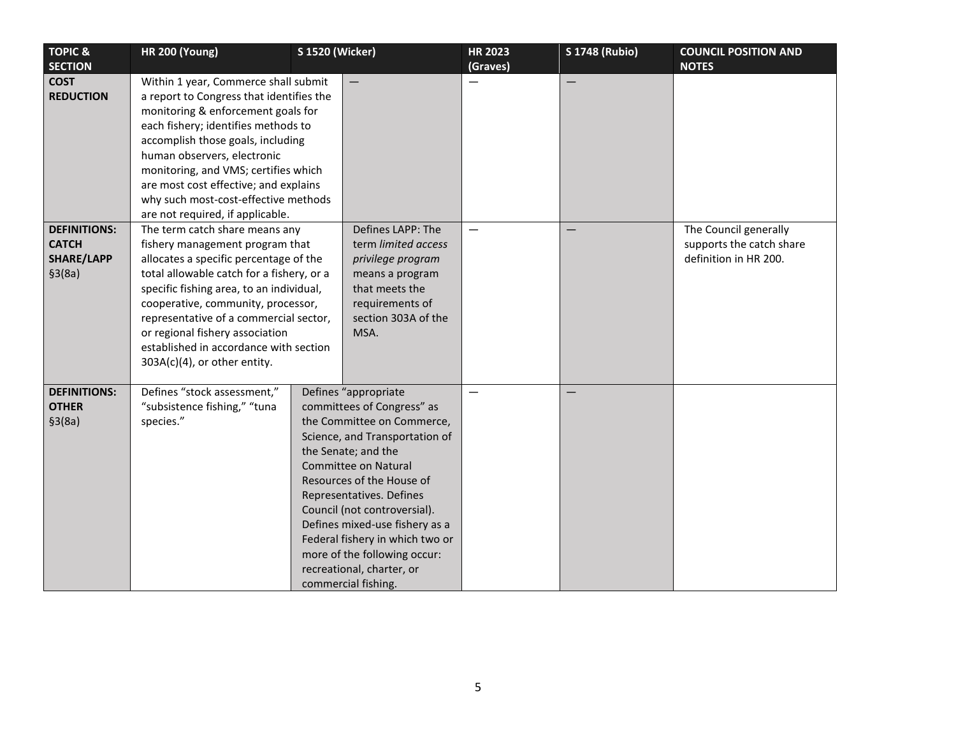| <b>TOPIC &amp;</b>                                           | <b>HR 200 (Young)</b>                                                                                                                                                                                                                                                                                                                                                                             | <b>S 1520 (Wicker)</b>                                                                                                                                                                                                                                                                                                                                                                                                     | <b>HR 2023</b> | <b>S 1748 (Rubio)</b>    | <b>COUNCIL POSITION AND</b>                                                |
|--------------------------------------------------------------|---------------------------------------------------------------------------------------------------------------------------------------------------------------------------------------------------------------------------------------------------------------------------------------------------------------------------------------------------------------------------------------------------|----------------------------------------------------------------------------------------------------------------------------------------------------------------------------------------------------------------------------------------------------------------------------------------------------------------------------------------------------------------------------------------------------------------------------|----------------|--------------------------|----------------------------------------------------------------------------|
| <b>SECTION</b>                                               |                                                                                                                                                                                                                                                                                                                                                                                                   |                                                                                                                                                                                                                                                                                                                                                                                                                            | (Graves)       |                          | <b>NOTES</b>                                                               |
| <b>COST</b><br><b>REDUCTION</b>                              | Within 1 year, Commerce shall submit<br>a report to Congress that identifies the<br>monitoring & enforcement goals for<br>each fishery; identifies methods to<br>accomplish those goals, including<br>human observers, electronic<br>monitoring, and VMS; certifies which<br>are most cost effective; and explains<br>why such most-cost-effective methods<br>are not required, if applicable.    |                                                                                                                                                                                                                                                                                                                                                                                                                            | —              | $\overline{\phantom{0}}$ |                                                                            |
| <b>DEFINITIONS:</b><br><b>CATCH</b><br>SHARE/LAPP<br>\$3(8a) | The term catch share means any<br>fishery management program that<br>allocates a specific percentage of the<br>total allowable catch for a fishery, or a<br>specific fishing area, to an individual,<br>cooperative, community, processor,<br>representative of a commercial sector,<br>or regional fishery association<br>established in accordance with section<br>303A(c)(4), or other entity. | Defines LAPP: The<br>term limited access<br>privilege program<br>means a program<br>that meets the<br>requirements of<br>section 303A of the<br>MSA.                                                                                                                                                                                                                                                                       | —              |                          | The Council generally<br>supports the catch share<br>definition in HR 200. |
| <b>DEFINITIONS:</b><br><b>OTHER</b><br>\$3(8a)               | Defines "stock assessment,"<br>"subsistence fishing," "tuna<br>species."                                                                                                                                                                                                                                                                                                                          | Defines "appropriate<br>committees of Congress" as<br>the Committee on Commerce,<br>Science, and Transportation of<br>the Senate; and the<br><b>Committee on Natural</b><br>Resources of the House of<br>Representatives. Defines<br>Council (not controversial).<br>Defines mixed-use fishery as a<br>Federal fishery in which two or<br>more of the following occur:<br>recreational, charter, or<br>commercial fishing. |                |                          |                                                                            |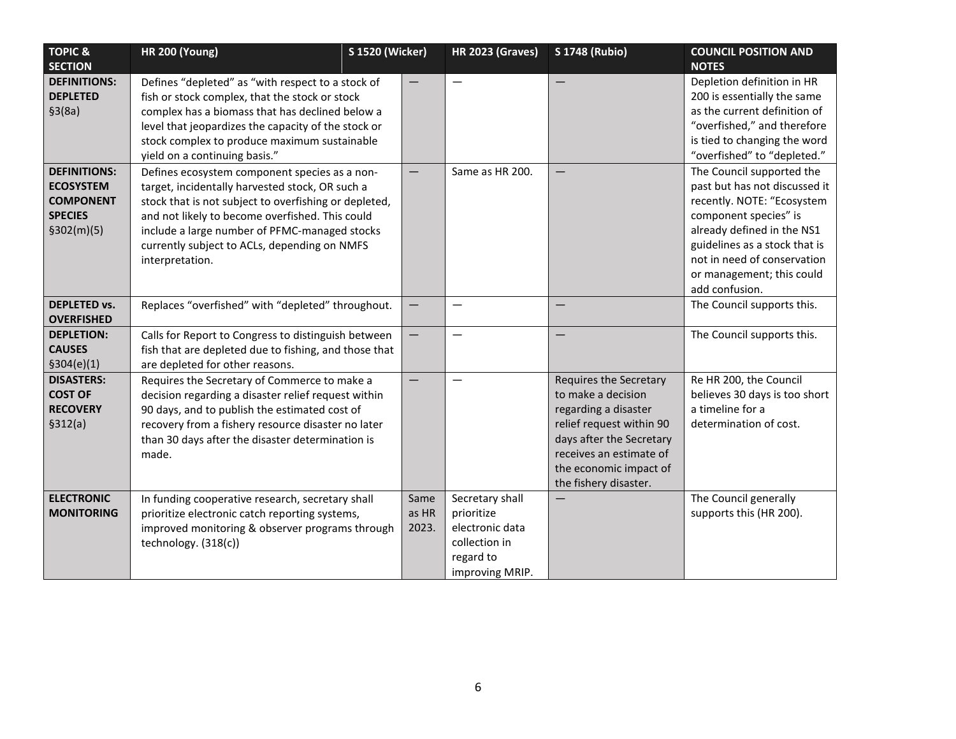| <b>TOPIC &amp;</b>  | <b>HR 200 (Young)</b>                                 | <b>S 1520 (Wicker)</b> |                          | <b>HR 2023 (Graves)</b> | <b>S 1748 (Rubio)</b>    | <b>COUNCIL POSITION AND</b>   |
|---------------------|-------------------------------------------------------|------------------------|--------------------------|-------------------------|--------------------------|-------------------------------|
| <b>SECTION</b>      |                                                       |                        |                          |                         |                          | <b>NOTES</b>                  |
| <b>DEFINITIONS:</b> | Defines "depleted" as "with respect to a stock of     |                        |                          |                         |                          | Depletion definition in HR    |
| <b>DEPLETED</b>     | fish or stock complex, that the stock or stock        |                        |                          |                         |                          | 200 is essentially the same   |
| \$3(8a)             | complex has a biomass that has declined below a       |                        |                          |                         |                          | as the current definition of  |
|                     | level that jeopardizes the capacity of the stock or   |                        |                          |                         |                          | "overfished," and therefore   |
|                     | stock complex to produce maximum sustainable          |                        |                          |                         |                          | is tied to changing the word  |
|                     | yield on a continuing basis."                         |                        |                          |                         |                          | "overfished" to "depleted."   |
| <b>DEFINITIONS:</b> | Defines ecosystem component species as a non-         |                        |                          | Same as HR 200.         |                          | The Council supported the     |
| <b>ECOSYSTEM</b>    | target, incidentally harvested stock, OR such a       |                        |                          |                         |                          | past but has not discussed it |
| <b>COMPONENT</b>    | stock that is not subject to overfishing or depleted, |                        |                          |                         |                          | recently. NOTE: "Ecosystem    |
| <b>SPECIES</b>      | and not likely to become overfished. This could       |                        |                          |                         |                          | component species" is         |
| \$302(m)(5)         | include a large number of PFMC-managed stocks         |                        |                          |                         |                          | already defined in the NS1    |
|                     | currently subject to ACLs, depending on NMFS          |                        |                          |                         |                          | guidelines as a stock that is |
|                     | interpretation.                                       |                        |                          |                         |                          | not in need of conservation   |
|                     |                                                       |                        |                          |                         |                          | or management; this could     |
|                     |                                                       |                        |                          |                         |                          | add confusion.                |
| <b>DEPLETED vs.</b> | Replaces "overfished" with "depleted" throughout.     |                        |                          |                         |                          | The Council supports this.    |
| <b>OVERFISHED</b>   |                                                       |                        |                          |                         |                          |                               |
| <b>DEPLETION:</b>   | Calls for Report to Congress to distinguish between   |                        | $\overline{\phantom{0}}$ |                         |                          | The Council supports this.    |
| <b>CAUSES</b>       | fish that are depleted due to fishing, and those that |                        |                          |                         |                          |                               |
| \$304(e)(1)         | are depleted for other reasons.                       |                        |                          |                         |                          |                               |
| <b>DISASTERS:</b>   | Requires the Secretary of Commerce to make a          |                        |                          |                         | Requires the Secretary   | Re HR 200, the Council        |
| <b>COST OF</b>      | decision regarding a disaster relief request within   |                        |                          |                         | to make a decision       | believes 30 days is too short |
| <b>RECOVERY</b>     | 90 days, and to publish the estimated cost of         |                        |                          |                         | regarding a disaster     | a timeline for a              |
| \$312(a)            | recovery from a fishery resource disaster no later    |                        |                          |                         | relief request within 90 | determination of cost.        |
|                     | than 30 days after the disaster determination is      |                        |                          |                         | days after the Secretary |                               |
|                     | made.                                                 |                        |                          |                         | receives an estimate of  |                               |
|                     |                                                       |                        |                          |                         | the economic impact of   |                               |
|                     |                                                       |                        |                          |                         | the fishery disaster.    |                               |
| <b>ELECTRONIC</b>   | In funding cooperative research, secretary shall      |                        | Same                     | Secretary shall         |                          | The Council generally         |
| <b>MONITORING</b>   | prioritize electronic catch reporting systems,        |                        | as HR                    | prioritize              |                          | supports this (HR 200).       |
|                     | improved monitoring & observer programs through       |                        | 2023.                    | electronic data         |                          |                               |
|                     | technology. (318(c))                                  |                        |                          | collection in           |                          |                               |
|                     |                                                       |                        |                          | regard to               |                          |                               |
|                     |                                                       |                        |                          | improving MRIP.         |                          |                               |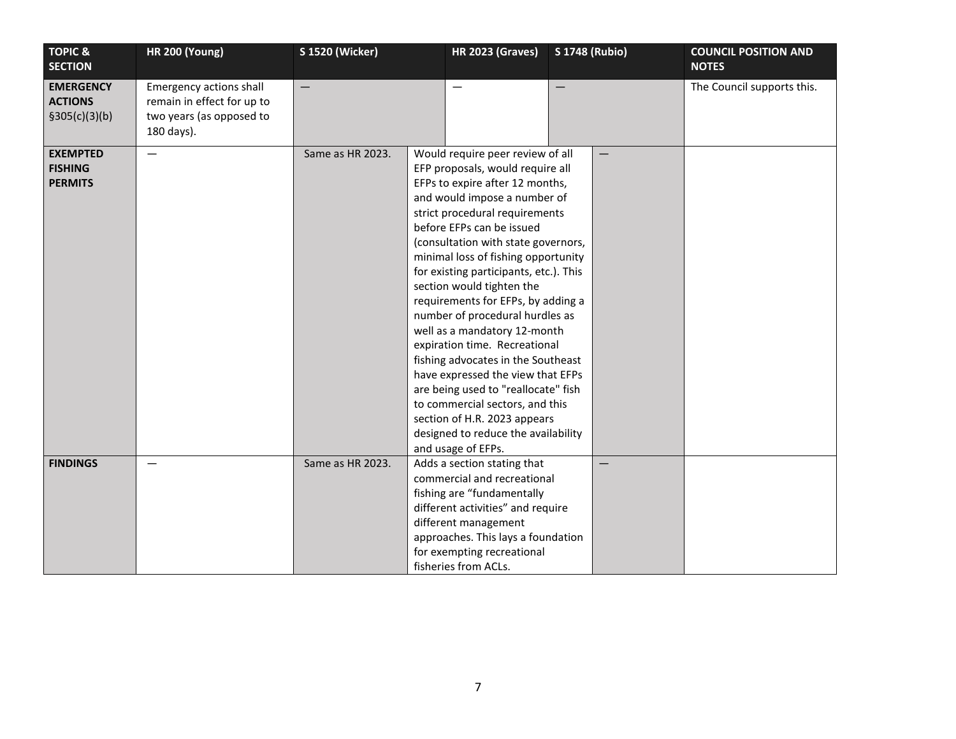| <b>TOPIC &amp;</b><br><b>SECTION</b> | <b>HR 200 (Young)</b>      | <b>S 1520 (Wicker)</b> |                    | <b>HR 2023 (Graves)</b>                                                 | <b>S 1748 (Rubio)</b> | <b>COUNCIL POSITION AND</b><br><b>NOTES</b> |
|--------------------------------------|----------------------------|------------------------|--------------------|-------------------------------------------------------------------------|-----------------------|---------------------------------------------|
| <b>EMERGENCY</b>                     | Emergency actions shall    |                        |                    |                                                                         |                       | The Council supports this.                  |
| <b>ACTIONS</b>                       | remain in effect for up to |                        |                    |                                                                         |                       |                                             |
| \$305(c)(3)(b)                       | two years (as opposed to   |                        |                    |                                                                         |                       |                                             |
|                                      | 180 days).                 |                        |                    |                                                                         |                       |                                             |
| <b>EXEMPTED</b>                      | $\qquad \qquad$            | Same as HR 2023.       |                    | Would require peer review of all                                        |                       |                                             |
| <b>FISHING</b>                       |                            |                        |                    | EFP proposals, would require all                                        |                       |                                             |
| <b>PERMITS</b>                       |                            |                        |                    | EFPs to expire after 12 months,                                         |                       |                                             |
|                                      |                            |                        |                    | and would impose a number of<br>strict procedural requirements          |                       |                                             |
|                                      |                            |                        |                    | before EFPs can be issued                                               |                       |                                             |
|                                      |                            |                        |                    | (consultation with state governors,                                     |                       |                                             |
|                                      |                            |                        |                    | minimal loss of fishing opportunity                                     |                       |                                             |
|                                      |                            |                        |                    | for existing participants, etc.). This                                  |                       |                                             |
|                                      |                            |                        |                    | section would tighten the                                               |                       |                                             |
|                                      |                            |                        |                    | requirements for EFPs, by adding a                                      |                       |                                             |
|                                      |                            |                        |                    | number of procedural hurdles as                                         |                       |                                             |
|                                      |                            |                        |                    | well as a mandatory 12-month                                            |                       |                                             |
|                                      |                            |                        |                    | expiration time. Recreational                                           |                       |                                             |
|                                      |                            |                        |                    | fishing advocates in the Southeast<br>have expressed the view that EFPs |                       |                                             |
|                                      |                            |                        |                    | are being used to "reallocate" fish                                     |                       |                                             |
|                                      |                            |                        |                    | to commercial sectors, and this                                         |                       |                                             |
|                                      |                            |                        |                    | section of H.R. 2023 appears                                            |                       |                                             |
|                                      |                            |                        |                    | designed to reduce the availability                                     |                       |                                             |
|                                      |                            |                        | and usage of EFPs. |                                                                         |                       |                                             |
| <b>FINDINGS</b>                      | $\qquad \qquad -$          | Same as HR 2023.       |                    | Adds a section stating that                                             | $\qquad \qquad$       |                                             |
|                                      |                            |                        |                    | commercial and recreational                                             |                       |                                             |
|                                      |                            |                        |                    | fishing are "fundamentally                                              |                       |                                             |
|                                      |                            |                        |                    | different activities" and require                                       |                       |                                             |
|                                      |                            |                        |                    | different management<br>approaches. This lays a foundation              |                       |                                             |
|                                      |                            |                        |                    | for exempting recreational                                              |                       |                                             |
|                                      |                            |                        |                    | fisheries from ACLs.                                                    |                       |                                             |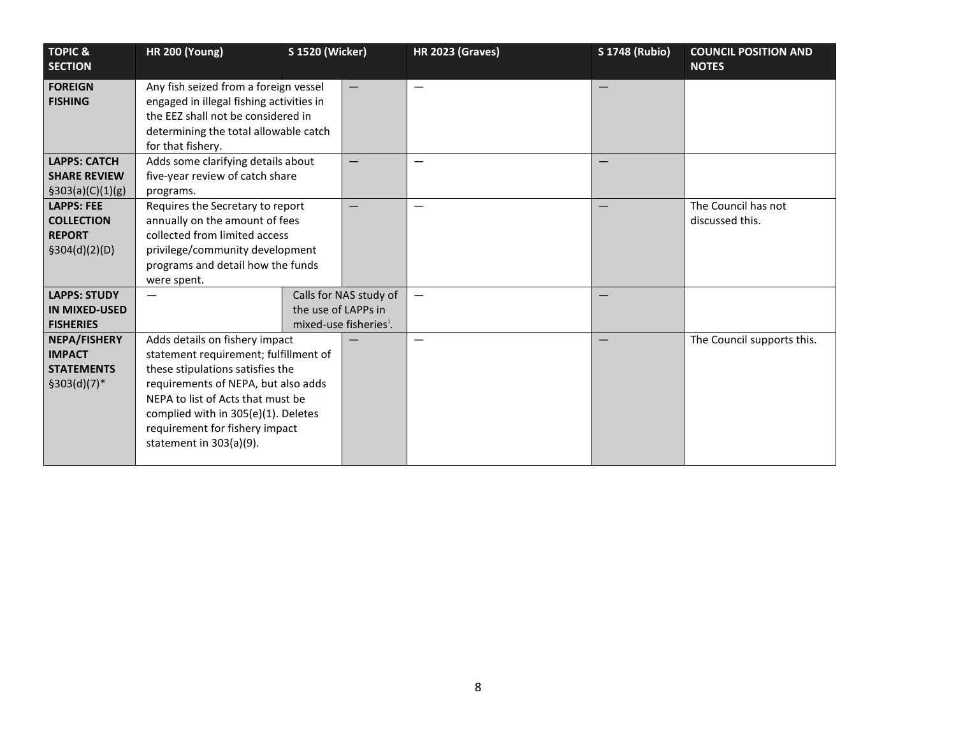| <b>TOPIC &amp;</b><br><b>SECTION</b> | <b>HR 200 (Young)</b>                                                                                                                                                                 | <b>S 1520 (Wicker)</b> |                                    | <b>HR 2023 (Graves)</b>  | <b>S 1748 (Rubio)</b> | <b>COUNCIL POSITION AND</b><br><b>NOTES</b> |
|--------------------------------------|---------------------------------------------------------------------------------------------------------------------------------------------------------------------------------------|------------------------|------------------------------------|--------------------------|-----------------------|---------------------------------------------|
| <b>FOREIGN</b><br><b>FISHING</b>     | Any fish seized from a foreign vessel<br>engaged in illegal fishing activities in<br>the EEZ shall not be considered in<br>determining the total allowable catch<br>for that fishery. |                        |                                    | $\overline{\phantom{0}}$ |                       |                                             |
| <b>LAPPS: CATCH</b>                  | Adds some clarifying details about                                                                                                                                                    |                        |                                    |                          |                       |                                             |
| <b>SHARE REVIEW</b>                  | five-year review of catch share                                                                                                                                                       |                        |                                    |                          |                       |                                             |
| \$303(a)(C)(1)(g)                    | programs.                                                                                                                                                                             |                        |                                    |                          |                       |                                             |
| <b>LAPPS: FEE</b>                    | Requires the Secretary to report                                                                                                                                                      |                        |                                    |                          |                       | The Council has not                         |
| <b>COLLECTION</b>                    | annually on the amount of fees                                                                                                                                                        |                        |                                    |                          |                       | discussed this.                             |
| <b>REPORT</b>                        | collected from limited access                                                                                                                                                         |                        |                                    |                          |                       |                                             |
| \$304(d)(2)(D)                       | privilege/community development                                                                                                                                                       |                        |                                    |                          |                       |                                             |
|                                      | programs and detail how the funds                                                                                                                                                     |                        |                                    |                          |                       |                                             |
|                                      | were spent.                                                                                                                                                                           |                        |                                    |                          |                       |                                             |
| <b>LAPPS: STUDY</b>                  |                                                                                                                                                                                       |                        | Calls for NAS study of             |                          |                       |                                             |
| <b>IN MIXED-USED</b>                 |                                                                                                                                                                                       | the use of LAPPs in    |                                    |                          |                       |                                             |
| <b>FISHERIES</b>                     |                                                                                                                                                                                       |                        | mixed-use fisheries <sup>i</sup> . |                          |                       |                                             |
| <b>NEPA/FISHERY</b>                  | Adds details on fishery impact                                                                                                                                                        |                        |                                    |                          |                       | The Council supports this.                  |
| <b>IMPACT</b>                        | statement requirement; fulfillment of                                                                                                                                                 |                        |                                    |                          |                       |                                             |
| <b>STATEMENTS</b>                    | these stipulations satisfies the                                                                                                                                                      |                        |                                    |                          |                       |                                             |
| $$303(d)(7)*$                        | requirements of NEPA, but also adds                                                                                                                                                   |                        |                                    |                          |                       |                                             |
|                                      | NEPA to list of Acts that must be                                                                                                                                                     |                        |                                    |                          |                       |                                             |
|                                      | complied with in 305(e)(1). Deletes                                                                                                                                                   |                        |                                    |                          |                       |                                             |
|                                      | requirement for fishery impact                                                                                                                                                        |                        |                                    |                          |                       |                                             |
|                                      | statement in 303(a)(9).                                                                                                                                                               |                        |                                    |                          |                       |                                             |
|                                      |                                                                                                                                                                                       |                        |                                    |                          |                       |                                             |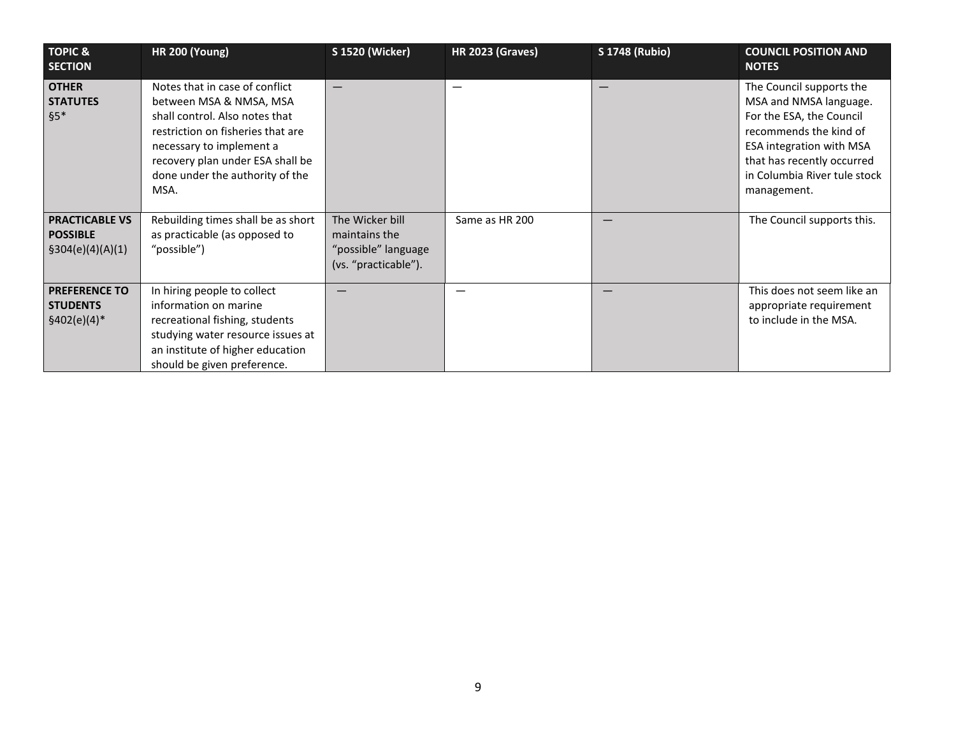| <b>TOPIC &amp;</b><br><b>SECTION</b>                          | <b>HR 200 (Young)</b>                                                                                                                                                                                                                       | <b>S 1520 (Wicker)</b>                                                          | <b>HR 2023 (Graves)</b> | <b>S 1748 (Rubio)</b> | <b>COUNCIL POSITION AND</b><br><b>NOTES</b>                                                                                                                                                                              |
|---------------------------------------------------------------|---------------------------------------------------------------------------------------------------------------------------------------------------------------------------------------------------------------------------------------------|---------------------------------------------------------------------------------|-------------------------|-----------------------|--------------------------------------------------------------------------------------------------------------------------------------------------------------------------------------------------------------------------|
| <b>OTHER</b><br><b>STATUTES</b><br>$§5*$                      | Notes that in case of conflict<br>between MSA & NMSA, MSA<br>shall control. Also notes that<br>restriction on fisheries that are<br>necessary to implement a<br>recovery plan under ESA shall be<br>done under the authority of the<br>MSA. |                                                                                 |                         | –                     | The Council supports the<br>MSA and NMSA language.<br>For the ESA, the Council<br>recommends the kind of<br><b>ESA integration with MSA</b><br>that has recently occurred<br>in Columbia River tule stock<br>management. |
| <b>PRACTICABLE VS</b><br><b>POSSIBLE</b><br>\$304(e)(4)(A)(1) | Rebuilding times shall be as short<br>as practicable (as opposed to<br>"possible")                                                                                                                                                          | The Wicker bill<br>maintains the<br>"possible" language<br>(vs. "practicable"). | Same as HR 200          |                       | The Council supports this.                                                                                                                                                                                               |
| <b>PREFERENCE TO</b><br><b>STUDENTS</b><br>$$402(e)(4)*$      | In hiring people to collect<br>information on marine<br>recreational fishing, students<br>studying water resource issues at<br>an institute of higher education<br>should be given preference.                                              |                                                                                 |                         |                       | This does not seem like an<br>appropriate requirement<br>to include in the MSA.                                                                                                                                          |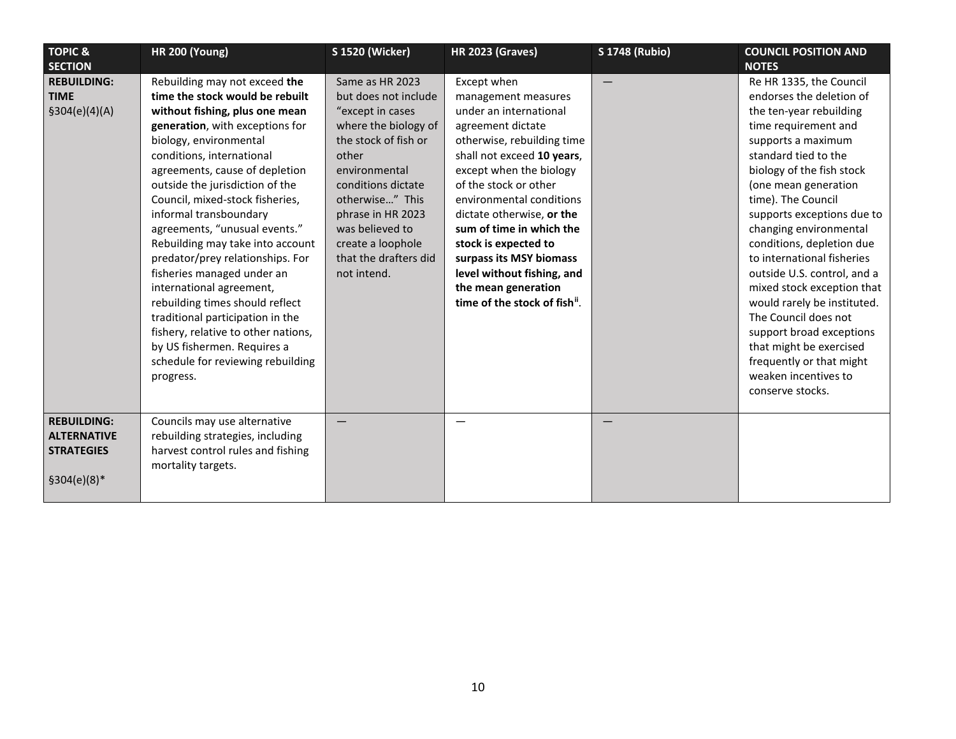| <b>TOPIC &amp;</b>                                                             | <b>HR 200 (Young)</b>                                                                                                                                                                                                                                                                                                                                                                                                                                                                                                                                                                                                                                                                            | <b>S 1520 (Wicker)</b>                                                                                                                                                                                                                                                              | <b>HR 2023 (Graves)</b>                                                                                                                                                                                                                                                                                                                                                                                                       | <b>S 1748 (Rubio)</b> | <b>COUNCIL POSITION AND</b>                                                                                                                                                                                                                                                                                                                                                                                                                                                                                                                                                                           |
|--------------------------------------------------------------------------------|--------------------------------------------------------------------------------------------------------------------------------------------------------------------------------------------------------------------------------------------------------------------------------------------------------------------------------------------------------------------------------------------------------------------------------------------------------------------------------------------------------------------------------------------------------------------------------------------------------------------------------------------------------------------------------------------------|-------------------------------------------------------------------------------------------------------------------------------------------------------------------------------------------------------------------------------------------------------------------------------------|-------------------------------------------------------------------------------------------------------------------------------------------------------------------------------------------------------------------------------------------------------------------------------------------------------------------------------------------------------------------------------------------------------------------------------|-----------------------|-------------------------------------------------------------------------------------------------------------------------------------------------------------------------------------------------------------------------------------------------------------------------------------------------------------------------------------------------------------------------------------------------------------------------------------------------------------------------------------------------------------------------------------------------------------------------------------------------------|
| <b>SECTION</b>                                                                 |                                                                                                                                                                                                                                                                                                                                                                                                                                                                                                                                                                                                                                                                                                  |                                                                                                                                                                                                                                                                                     |                                                                                                                                                                                                                                                                                                                                                                                                                               |                       | <b>NOTES</b>                                                                                                                                                                                                                                                                                                                                                                                                                                                                                                                                                                                          |
| <b>REBUILDING:</b><br><b>TIME</b><br>\$304(e)(4)(A)                            | Rebuilding may not exceed the<br>time the stock would be rebuilt<br>without fishing, plus one mean<br>generation, with exceptions for<br>biology, environmental<br>conditions, international<br>agreements, cause of depletion<br>outside the jurisdiction of the<br>Council, mixed-stock fisheries,<br>informal transboundary<br>agreements, "unusual events."<br>Rebuilding may take into account<br>predator/prey relationships. For<br>fisheries managed under an<br>international agreement,<br>rebuilding times should reflect<br>traditional participation in the<br>fishery, relative to other nations,<br>by US fishermen. Requires a<br>schedule for reviewing rebuilding<br>progress. | Same as HR 2023<br>but does not include<br>"except in cases<br>where the biology of<br>the stock of fish or<br>other<br>environmental<br>conditions dictate<br>otherwise" This<br>phrase in HR 2023<br>was believed to<br>create a loophole<br>that the drafters did<br>not intend. | Except when<br>management measures<br>under an international<br>agreement dictate<br>otherwise, rebuilding time<br>shall not exceed 10 years,<br>except when the biology<br>of the stock or other<br>environmental conditions<br>dictate otherwise, or the<br>sum of time in which the<br>stock is expected to<br>surpass its MSY biomass<br>level without fishing, and<br>the mean generation<br>time of the stock of fish". |                       | Re HR 1335, the Council<br>endorses the deletion of<br>the ten-year rebuilding<br>time requirement and<br>supports a maximum<br>standard tied to the<br>biology of the fish stock<br>(one mean generation<br>time). The Council<br>supports exceptions due to<br>changing environmental<br>conditions, depletion due<br>to international fisheries<br>outside U.S. control, and a<br>mixed stock exception that<br>would rarely be instituted.<br>The Council does not<br>support broad exceptions<br>that might be exercised<br>frequently or that might<br>weaken incentives to<br>conserve stocks. |
| <b>REBUILDING:</b><br><b>ALTERNATIVE</b><br><b>STRATEGIES</b><br>$$304(e)(8)*$ | Councils may use alternative<br>rebuilding strategies, including<br>harvest control rules and fishing<br>mortality targets.                                                                                                                                                                                                                                                                                                                                                                                                                                                                                                                                                                      |                                                                                                                                                                                                                                                                                     |                                                                                                                                                                                                                                                                                                                                                                                                                               |                       |                                                                                                                                                                                                                                                                                                                                                                                                                                                                                                                                                                                                       |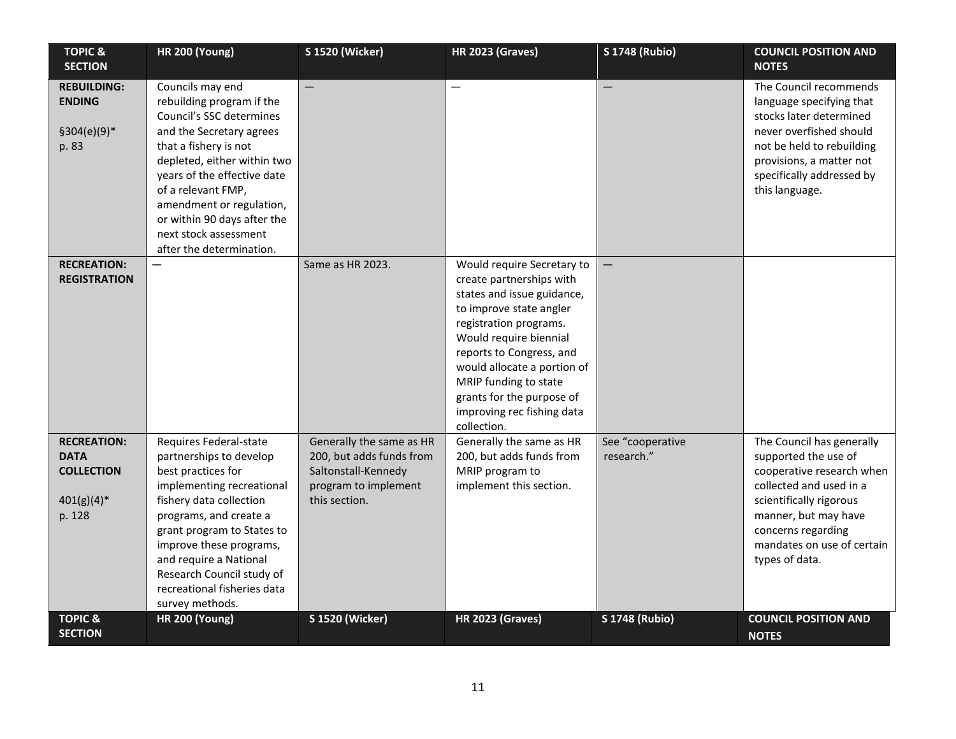| <b>TOPIC &amp;</b><br><b>SECTION</b>                                             | <b>HR 200 (Young)</b>                                                                                                                                                                                                                                                                                                              | <b>S 1520 (Wicker)</b>                                                                                               | <b>HR 2023 (Graves)</b>                                                                                                                                                                                                                                                                                                           | <b>S 1748 (Rubio)</b>          | <b>COUNCIL POSITION AND</b><br><b>NOTES</b>                                                                                                                                                                                        |
|----------------------------------------------------------------------------------|------------------------------------------------------------------------------------------------------------------------------------------------------------------------------------------------------------------------------------------------------------------------------------------------------------------------------------|----------------------------------------------------------------------------------------------------------------------|-----------------------------------------------------------------------------------------------------------------------------------------------------------------------------------------------------------------------------------------------------------------------------------------------------------------------------------|--------------------------------|------------------------------------------------------------------------------------------------------------------------------------------------------------------------------------------------------------------------------------|
| <b>REBUILDING:</b><br><b>ENDING</b><br>$$304(e)(9)*$<br>p. 83                    | Councils may end<br>rebuilding program if the<br>Council's SSC determines<br>and the Secretary agrees<br>that a fishery is not<br>depleted, either within two<br>years of the effective date<br>of a relevant FMP,<br>amendment or regulation,<br>or within 90 days after the<br>next stock assessment<br>after the determination. |                                                                                                                      | —                                                                                                                                                                                                                                                                                                                                 |                                | The Council recommends<br>language specifying that<br>stocks later determined<br>never overfished should<br>not be held to rebuilding<br>provisions, a matter not<br>specifically addressed by<br>this language.                   |
| <b>RECREATION:</b><br><b>REGISTRATION</b>                                        |                                                                                                                                                                                                                                                                                                                                    | Same as HR 2023.                                                                                                     | Would require Secretary to<br>create partnerships with<br>states and issue guidance,<br>to improve state angler<br>registration programs.<br>Would require biennial<br>reports to Congress, and<br>would allocate a portion of<br>MRIP funding to state<br>grants for the purpose of<br>improving rec fishing data<br>collection. |                                |                                                                                                                                                                                                                                    |
| <b>RECREATION:</b><br><b>DATA</b><br><b>COLLECTION</b><br>$401(g)(4)*$<br>p. 128 | Requires Federal-state<br>partnerships to develop<br>best practices for<br>implementing recreational<br>fishery data collection<br>programs, and create a<br>grant program to States to<br>improve these programs,<br>and require a National<br>Research Council study of<br>recreational fisheries data<br>survey methods.        | Generally the same as HR<br>200, but adds funds from<br>Saltonstall-Kennedy<br>program to implement<br>this section. | Generally the same as HR<br>200, but adds funds from<br>MRIP program to<br>implement this section.                                                                                                                                                                                                                                | See "cooperative<br>research." | The Council has generally<br>supported the use of<br>cooperative research when<br>collected and used in a<br>scientifically rigorous<br>manner, but may have<br>concerns regarding<br>mandates on use of certain<br>types of data. |
| <b>TOPIC &amp;</b><br><b>SECTION</b>                                             | <b>HR 200 (Young)</b>                                                                                                                                                                                                                                                                                                              | <b>S 1520 (Wicker)</b>                                                                                               | <b>HR 2023 (Graves)</b>                                                                                                                                                                                                                                                                                                           | <b>S 1748 (Rubio)</b>          | <b>COUNCIL POSITION AND</b><br><b>NOTES</b>                                                                                                                                                                                        |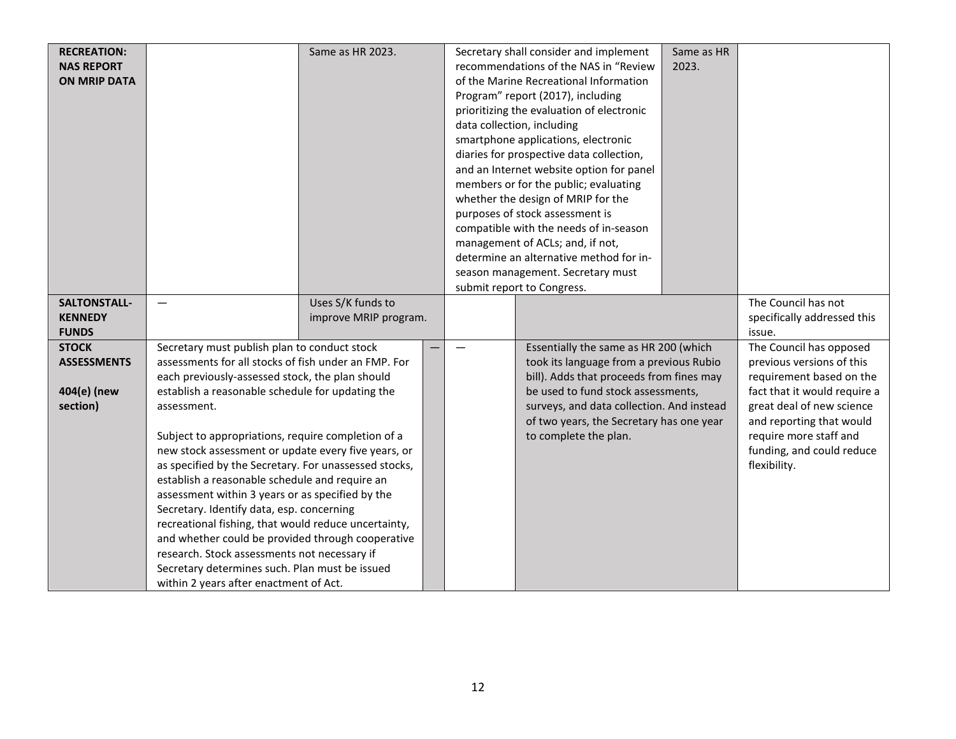| <b>RECREATION:</b>  |                                                       | Same as HR 2023.      |                                   | Secretary shall consider and implement    | Same as HR |                              |
|---------------------|-------------------------------------------------------|-----------------------|-----------------------------------|-------------------------------------------|------------|------------------------------|
| <b>NAS REPORT</b>   |                                                       |                       |                                   | recommendations of the NAS in "Review     | 2023.      |                              |
|                     |                                                       |                       |                                   |                                           |            |                              |
| <b>ON MRIP DATA</b> |                                                       |                       |                                   | of the Marine Recreational Information    |            |                              |
|                     |                                                       |                       | Program" report (2017), including |                                           |            |                              |
|                     |                                                       |                       |                                   | prioritizing the evaluation of electronic |            |                              |
|                     |                                                       |                       |                                   | data collection, including                |            |                              |
|                     |                                                       |                       |                                   | smartphone applications, electronic       |            |                              |
|                     |                                                       |                       |                                   | diaries for prospective data collection,  |            |                              |
|                     |                                                       |                       |                                   | and an Internet website option for panel  |            |                              |
|                     |                                                       |                       |                                   | members or for the public; evaluating     |            |                              |
|                     |                                                       |                       |                                   | whether the design of MRIP for the        |            |                              |
|                     |                                                       |                       |                                   | purposes of stock assessment is           |            |                              |
|                     |                                                       |                       |                                   | compatible with the needs of in-season    |            |                              |
|                     |                                                       |                       |                                   | management of ACLs; and, if not,          |            |                              |
|                     |                                                       |                       |                                   | determine an alternative method for in-   |            |                              |
|                     |                                                       |                       |                                   | season management. Secretary must         |            |                              |
|                     |                                                       |                       |                                   | submit report to Congress.                |            |                              |
| SALTONSTALL-        |                                                       | Uses S/K funds to     |                                   |                                           |            | The Council has not          |
| <b>KENNEDY</b>      |                                                       | improve MRIP program. |                                   |                                           |            | specifically addressed this  |
| <b>FUNDS</b>        |                                                       |                       |                                   |                                           |            | issue.                       |
| <b>STOCK</b>        | Secretary must publish plan to conduct stock          |                       |                                   | Essentially the same as HR 200 (which     |            | The Council has opposed      |
| <b>ASSESSMENTS</b>  | assessments for all stocks of fish under an FMP. For  |                       |                                   | took its language from a previous Rubio   |            | previous versions of this    |
|                     | each previously-assessed stock, the plan should       |                       |                                   | bill). Adds that proceeds from fines may  |            | requirement based on the     |
| 404(e) (new         | establish a reasonable schedule for updating the      |                       |                                   | be used to fund stock assessments,        |            | fact that it would require a |
| section)            | assessment.                                           |                       |                                   | surveys, and data collection. And instead |            | great deal of new science    |
|                     |                                                       |                       |                                   | of two years, the Secretary has one year  |            | and reporting that would     |
|                     | Subject to appropriations, require completion of a    |                       |                                   | to complete the plan.                     |            | require more staff and       |
|                     | new stock assessment or update every five years, or   |                       |                                   |                                           |            | funding, and could reduce    |
|                     | as specified by the Secretary. For unassessed stocks, |                       |                                   |                                           |            | flexibility.                 |
|                     | establish a reasonable schedule and require an        |                       |                                   |                                           |            |                              |
|                     | assessment within 3 years or as specified by the      |                       |                                   |                                           |            |                              |
|                     | Secretary. Identify data, esp. concerning             |                       |                                   |                                           |            |                              |
|                     | recreational fishing, that would reduce uncertainty,  |                       |                                   |                                           |            |                              |
|                     | and whether could be provided through cooperative     |                       |                                   |                                           |            |                              |
|                     | research. Stock assessments not necessary if          |                       |                                   |                                           |            |                              |
|                     | Secretary determines such. Plan must be issued        |                       |                                   |                                           |            |                              |
|                     | within 2 years after enactment of Act.                |                       |                                   |                                           |            |                              |